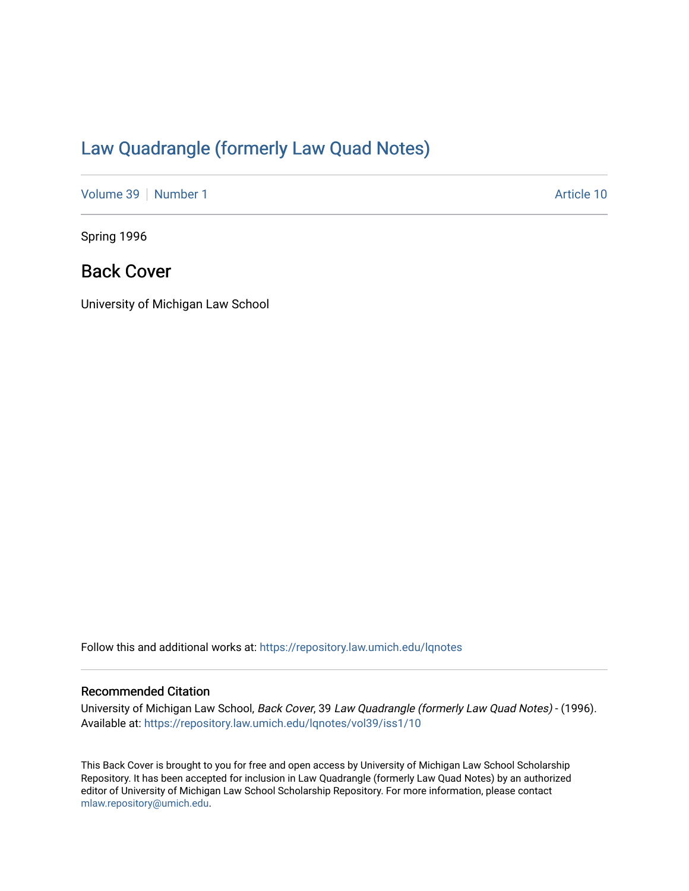## [Law Quadrangle \(formerly Law Quad Notes\)](https://repository.law.umich.edu/lqnotes)

[Volume 39](https://repository.law.umich.edu/lqnotes/vol39) [Number 1](https://repository.law.umich.edu/lqnotes/vol39/iss1) Article 10

Spring 1996

## Back Cover

University of Michigan Law School

Follow this and additional works at: [https://repository.law.umich.edu/lqnotes](https://repository.law.umich.edu/lqnotes?utm_source=repository.law.umich.edu%2Flqnotes%2Fvol39%2Fiss1%2F10&utm_medium=PDF&utm_campaign=PDFCoverPages) 

## Recommended Citation

University of Michigan Law School, Back Cover, 39 Law Quadrangle (formerly Law Quad Notes) - (1996). Available at: [https://repository.law.umich.edu/lqnotes/vol39/iss1/10](https://repository.law.umich.edu/lqnotes/vol39/iss1/10?utm_source=repository.law.umich.edu%2Flqnotes%2Fvol39%2Fiss1%2F10&utm_medium=PDF&utm_campaign=PDFCoverPages)

This Back Cover is brought to you for free and open access by University of Michigan Law School Scholarship Repository. It has been accepted for inclusion in Law Quadrangle (formerly Law Quad Notes) by an authorized editor of University of Michigan Law School Scholarship Repository. For more information, please contact [mlaw.repository@umich.edu.](mailto:mlaw.repository@umich.edu)